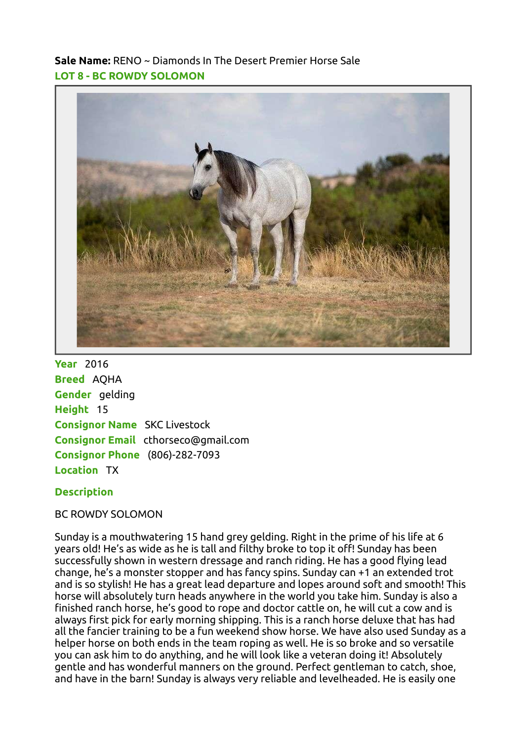Sale Name: RENO ~ Diamonds In The Desert Premier Horse Sale LOT 8 - BC ROWDY SOLOMON



**Year** 2016 Breed AQHA Gender gelding Height 15 Consignor Name SKC Livestock Consignor Email cthorseco@gmail.com Consignor Phone (806)-282-7093 Location TX

## **Description**

BC ROWDY SOLOMON

Sunday is a mouthwatering 15 hand grey gelding. Right in the prime of his life at 6 years old! He's as wide as he is tall and filthy broke to top it off! Sunday has been successfully shown in western dressage and ranch riding. He has a good flying lead change, he's a monster stopper and has fancy spins. Sunday can +1 an extended trot and is so stylish! He has a great lead departure and lopes around soft and smooth! This horse will absolutely turn heads anywhere in the world you take him. Sunday is also a finished ranch horse, he's good to rope and doctor cattle on, he will cut a cow and is always first pick for early morning shipping. This is a ranch horse deluxe that has had all the fancier training to be a fun weekend show horse. We have also used Sunday as a helper horse on both ends in the team roping as well. He is so broke and so versatile you can ask him to do anything, and he will look like a veteran doing it! Absolutely gentle and has wonderful manners on the ground. Perfect gentleman to catch, shoe, and have in the barn! Sunday is always very reliable and levelheaded. He is easily one